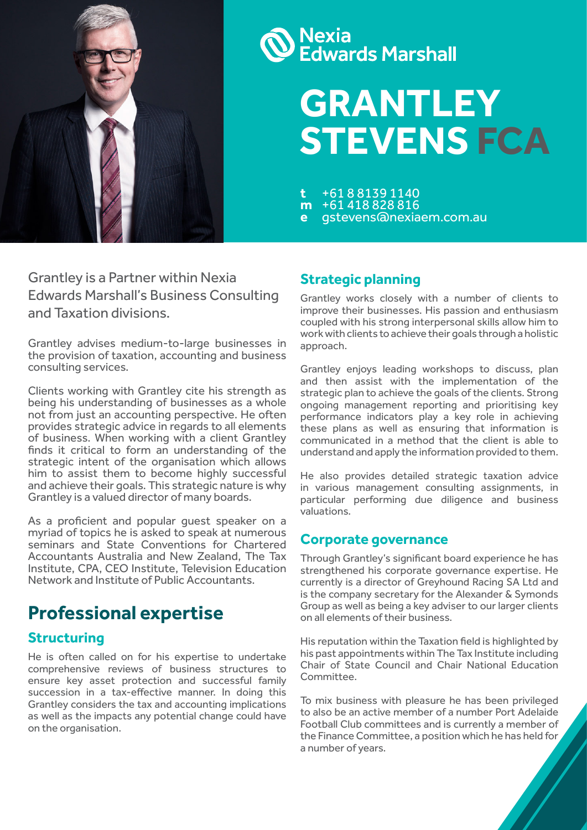

# **Nexia<br>Edwards Marshall**

# **GRANTLEY STEVENS FCA**

**<sup>t</sup>** +61 8 8139 1140 **<sup>m</sup>** +61 418 828 816 **<sup>e</sup>** [gstevens@nexiaem.com.au](mailto:gstevens%40edwardsmarshall.com.au?subject=)

Grantley is a Partner within Nexia Edwards Marshall's Business Consulting and Taxation divisions.

Grantley advises medium-to-large businesses in the provision of taxation, accounting and business consulting services.

Clients working with Grantley cite his strength as being his understanding of businesses as a whole not from just an accounting perspective. He often provides strategic advice in regards to all elements of business. When working with a client Grantley finds it critical to form an understanding of the strategic intent of the organisation which allows him to assist them to become highly successful and achieve their goals. This strategic nature is why Grantley is a valued director of many boards.

As a proficient and popular guest speaker on a myriad of topics he is asked to speak at numerous seminars and State Conventions for Chartered Accountants Australia and New Zealand, The Tax Institute, CPA, CEO Institute, Television Education Network and Institute of Public Accountants.

# **Professional expertise**

### **Structuring**

He is often called on for his expertise to undertake comprehensive reviews of business structures to ensure key asset protection and successful family succession in a tax-effective manner. In doing this Grantley considers the tax and accounting implications as well as the impacts any potential change could have on the organisation.

#### **Strategic planning**

Grantley works closely with a number of clients to improve their businesses. His passion and enthusiasm coupled with his strong interpersonal skills allow him to work with clients to achieve their goals through a holistic approach.

Grantley enjoys leading workshops to discuss, plan and then assist with the implementation of the strategic plan to achieve the goals of the clients. Strong ongoing management reporting and prioritising key performance indicators play a key role in achieving these plans as well as ensuring that information is communicated in a method that the client is able to understand and apply the information provided to them.

He also provides detailed strategic taxation advice in various management consulting assignments, in particular performing due diligence and business valuations.

#### **Corporate governance**

Through Grantley's significant board experience he has strengthened his corporate governance expertise. He currently is a director of Greyhound Racing SA Ltd and is the company secretary for the Alexander & Symonds Group as well as being a key adviser to our larger clients on all elements of their business.

His reputation within the Taxation field is highlighted by his past appointments within The Tax Institute including Chair of State Council and Chair National Education Committee.

To mix business with pleasure he has been privileged to also be an active member of a number Port Adelaide Football Club committees and is currently a member of the Finance Committee, a position which he has held for a number of years.